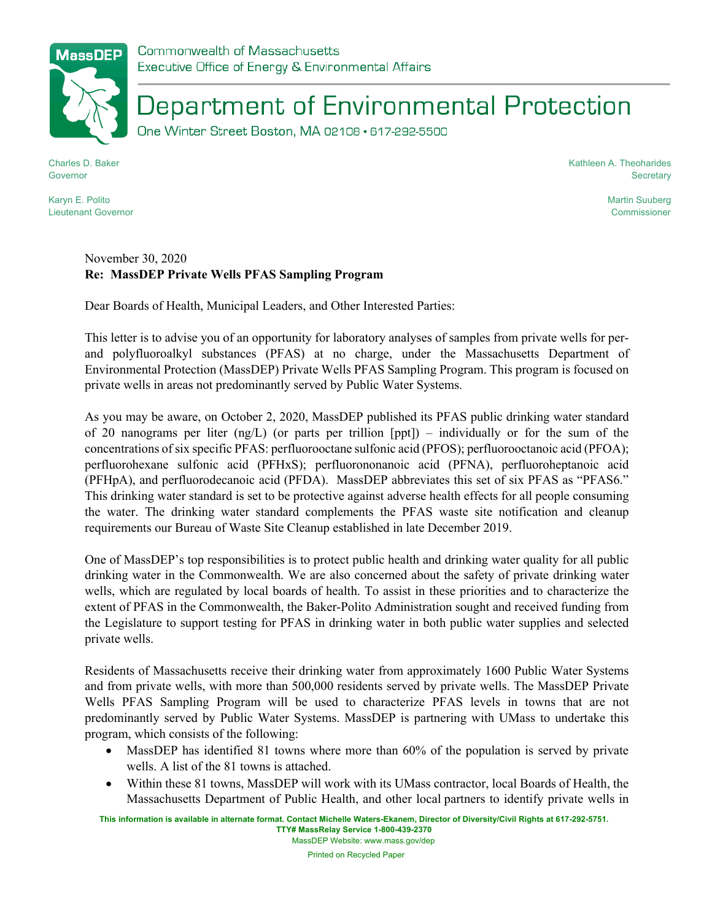## Department of Environmental Protection

One Winter Street Boston, MA 02108 · 617-292-5500

Charles D. Baker Governor

Kathleen A. Theoharides **Secretary** 

> Martin Suuberg Commissioner

## Karyn E. Polito Lieutenant Governor

## November 30, 2020 **Re: MassDEP Private Wells PFAS Sampling Program**

Dear Boards of Health, Municipal Leaders, and Other Interested Parties:

This letter is to advise you of an opportunity for laboratory analyses of samples from private wells for perand polyfluoroalkyl substances (PFAS) at no charge, under the Massachusetts Department of Environmental Protection (MassDEP) Private Wells PFAS Sampling Program. This program is focused on private wells in areas not predominantly served by Public Water Systems.

As you may be aware, on October 2, 2020, MassDEP published its PFAS public drinking water standard of 20 nanograms per liter  $(\text{ng/L})$  (or parts per trillion [ppt]) – individually or for the sum of the concentrations of six specific PFAS: perfluorooctane sulfonic acid (PFOS); perfluorooctanoic acid (PFOA); perfluorohexane sulfonic acid (PFHxS); perfluorononanoic acid (PFNA), perfluoroheptanoic acid (PFHpA), and perfluorodecanoic acid (PFDA). MassDEP abbreviates this set of six PFAS as "PFAS6." This drinking water standard is set to be protective against adverse health effects for all people consuming the water. The drinking water standard complements the PFAS waste site notification and cleanup requirements our Bureau of Waste Site Cleanup established in late December 2019.

One of MassDEP's top responsibilities is to protect public health and drinking water quality for all public drinking water in the Commonwealth. We are also concerned about the safety of private drinking water wells, which are regulated by local boards of health. To assist in these priorities and to characterize the extent of PFAS in the Commonwealth, the Baker-Polito Administration sought and received funding from the Legislature to support testing for PFAS in drinking water in both public water supplies and selected private wells.

Residents of Massachusetts receive their drinking water from approximately 1600 Public Water Systems and from private wells, with more than 500,000 residents served by private wells. The MassDEP Private Wells PFAS Sampling Program will be used to characterize PFAS levels in towns that are not predominantly served by Public Water Systems. MassDEP is partnering with UMass to undertake this program, which consists of the following:

- MassDEP has identified 81 towns where more than 60% of the population is served by private wells. A list of the 81 towns is attached.
- Within these 81 towns, MassDEP will work with its UMass contractor, local Boards of Health, the Massachusetts Department of Public Health, and other local partners to identify private wells in

**This information is available in alternate format. Contact Michelle Waters-Ekanem, Director of Diversity/Civil Rights at 617-292-5751. TTY# MassRelay Service 1-800-439-2370** MassDEP Website: www.mass.gov/dep